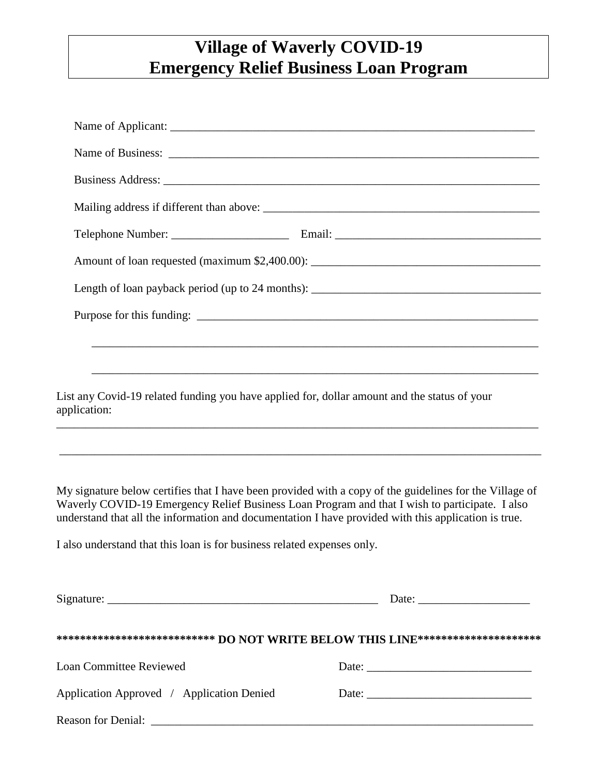## **Village of Waverly COVID-19 Emergency Relief Business Loan Program**

|                                                                                                                                                                                                                                                                                                                   | Length of loan payback period (up to 24 months): ________________________________                                    |
|-------------------------------------------------------------------------------------------------------------------------------------------------------------------------------------------------------------------------------------------------------------------------------------------------------------------|----------------------------------------------------------------------------------------------------------------------|
|                                                                                                                                                                                                                                                                                                                   |                                                                                                                      |
|                                                                                                                                                                                                                                                                                                                   |                                                                                                                      |
|                                                                                                                                                                                                                                                                                                                   | <u> 1989 - Jan James Barnett, mars and de la contradicto de la contradicto de la contradicto de la contradicto d</u> |
| List any Covid-19 related funding you have applied for, dollar amount and the status of your<br>application:                                                                                                                                                                                                      |                                                                                                                      |
|                                                                                                                                                                                                                                                                                                                   |                                                                                                                      |
| My signature below certifies that I have been provided with a copy of the guidelines for the Village of<br>Waverly COVID-19 Emergency Relief Business Loan Program and that I wish to participate. I also<br>understand that all the information and documentation I have provided with this application is true. |                                                                                                                      |
| I also understand that this loan is for business related expenses only.                                                                                                                                                                                                                                           |                                                                                                                      |
|                                                                                                                                                                                                                                                                                                                   |                                                                                                                      |
| **************************** DO NOT WRITE BELOW THIS LINE**********************                                                                                                                                                                                                                                   |                                                                                                                      |
| <b>Loan Committee Reviewed</b>                                                                                                                                                                                                                                                                                    |                                                                                                                      |
| Application Approved / Application Denied                                                                                                                                                                                                                                                                         | Date: $\frac{1}{\sqrt{1-\frac{1}{2}} \cdot \frac{1}{2}}$                                                             |
|                                                                                                                                                                                                                                                                                                                   |                                                                                                                      |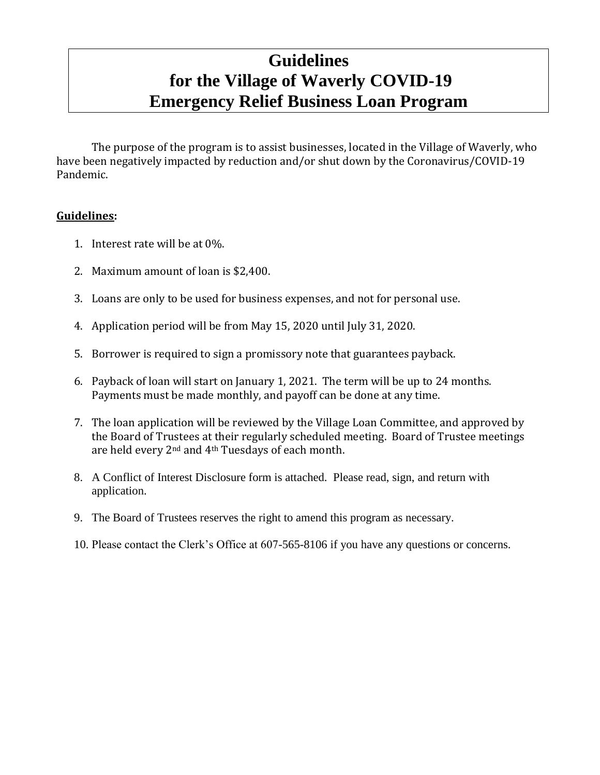## **Guidelines for the Village of Waverly COVID-19 Emergency Relief Business Loan Program**

The purpose of the program is to assist businesses, located in the Village of Waverly, who have been negatively impacted by reduction and/or shut down by the Coronavirus/COVID-19 Pandemic.

## **Guidelines:**

- 1. Interest rate will be at 0%.
- 2. Maximum amount of loan is \$2,400.
- 3. Loans are only to be used for business expenses, and not for personal use.
- 4. Application period will be from May 15, 2020 until July 31, 2020.
- 5. Borrower is required to sign a promissory note that guarantees payback.
- 6. Payback of loan will start on January 1, 2021. The term will be up to 24 months. Payments must be made monthly, and payoff can be done at any time.
- 7. The loan application will be reviewed by the Village Loan Committee, and approved by the Board of Trustees at their regularly scheduled meeting. Board of Trustee meetings are held every 2<sup>nd</sup> and 4<sup>th</sup> Tuesdays of each month.
- 8. A Conflict of Interest Disclosure form is attached. Please read, sign, and return with application.
- 9. The Board of Trustees reserves the right to amend this program as necessary.
- 10. Please contact the Clerk's Office at 607-565-8106 if you have any questions or concerns.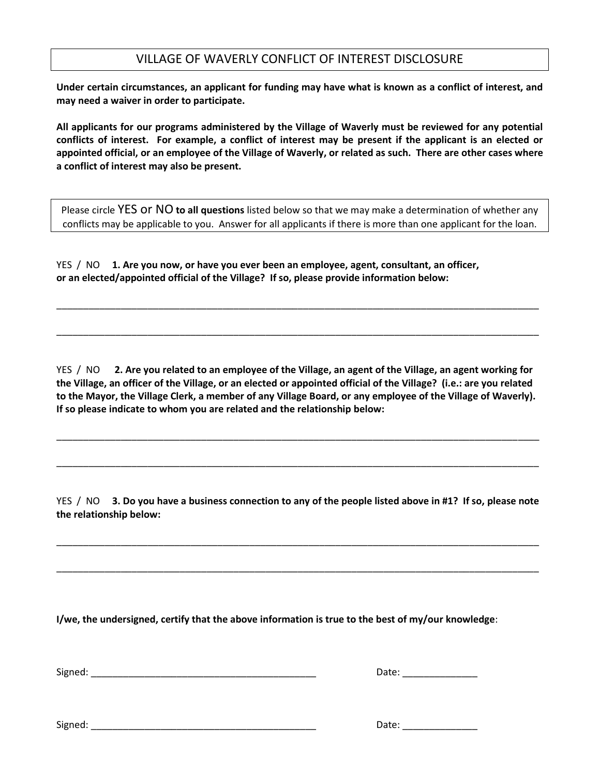## VILLAGE OF WAVERLY CONFLICT OF INTEREST DISCLOSURE

**Under certain circumstances, an applicant for funding may have what is known as a conflict of interest, and may need a waiver in order to participate.**

**All applicants for our programs administered by the Village of Waverly must be reviewed for any potential conflicts of interest. For example, a conflict of interest may be present if the applicant is an elected or appointed official, or an employee of the Village of Waverly, or related as such. There are other cases where a conflict of interest may also be present.** 

Please circle YES or NO **to all questions** listed below so that we may make a determination of whether any conflicts may be applicable to you. Answer for all applicants if there is more than one applicant for the loan.

YES / NO **1. Are you now, or have you ever been an employee, agent, consultant, an officer, or an elected/appointed official of the Village? If so, please provide information below:**

YES / NO **2. Are you related to an employee of the Village, an agent of the Village, an agent working for the Village, an officer of the Village, or an elected or appointed official of the Village? (i.e.: are you related to the Mayor, the Village Clerk, a member of any Village Board, or any employee of the Village of Waverly). If so please indicate to whom you are related and the relationship below:**

\_\_\_\_\_\_\_\_\_\_\_\_\_\_\_\_\_\_\_\_\_\_\_\_\_\_\_\_\_\_\_\_\_\_\_\_\_\_\_\_\_\_\_\_\_\_\_\_\_\_\_\_\_\_\_\_\_\_\_\_\_\_\_\_\_\_\_\_\_\_\_\_\_\_\_\_\_\_\_\_\_\_\_\_\_\_\_\_\_\_

\_\_\_\_\_\_\_\_\_\_\_\_\_\_\_\_\_\_\_\_\_\_\_\_\_\_\_\_\_\_\_\_\_\_\_\_\_\_\_\_\_\_\_\_\_\_\_\_\_\_\_\_\_\_\_\_\_\_\_\_\_\_\_\_\_\_\_\_\_\_\_\_\_\_\_\_\_\_\_\_\_\_\_\_\_\_\_\_\_\_

\_\_\_\_\_\_\_\_\_\_\_\_\_\_\_\_\_\_\_\_\_\_\_\_\_\_\_\_\_\_\_\_\_\_\_\_\_\_\_\_\_\_\_\_\_\_\_\_\_\_\_\_\_\_\_\_\_\_\_\_\_\_\_\_\_\_\_\_\_\_\_\_\_\_\_\_\_\_\_\_\_\_\_\_\_\_\_\_\_\_

\_\_\_\_\_\_\_\_\_\_\_\_\_\_\_\_\_\_\_\_\_\_\_\_\_\_\_\_\_\_\_\_\_\_\_\_\_\_\_\_\_\_\_\_\_\_\_\_\_\_\_\_\_\_\_\_\_\_\_\_\_\_\_\_\_\_\_\_\_\_\_\_\_\_\_\_\_\_\_\_\_\_\_\_\_\_\_\_\_\_

YES / NO **3. Do you have a business connection to any of the people listed above in #1? If so, please note the relationship below:**

\_\_\_\_\_\_\_\_\_\_\_\_\_\_\_\_\_\_\_\_\_\_\_\_\_\_\_\_\_\_\_\_\_\_\_\_\_\_\_\_\_\_\_\_\_\_\_\_\_\_\_\_\_\_\_\_\_\_\_\_\_\_\_\_\_\_\_\_\_\_\_\_\_\_\_\_\_\_\_\_\_\_\_\_\_\_\_\_\_\_

\_\_\_\_\_\_\_\_\_\_\_\_\_\_\_\_\_\_\_\_\_\_\_\_\_\_\_\_\_\_\_\_\_\_\_\_\_\_\_\_\_\_\_\_\_\_\_\_\_\_\_\_\_\_\_\_\_\_\_\_\_\_\_\_\_\_\_\_\_\_\_\_\_\_\_\_\_\_\_\_\_\_\_\_\_\_\_\_\_\_

**I/we, the undersigned, certify that the above information is true to the best of my/our knowledge**:

Signed: \_\_\_\_\_\_\_\_\_\_\_\_\_\_\_\_\_\_\_\_\_\_\_\_\_\_\_\_\_\_\_\_\_\_\_\_\_\_\_\_\_\_ Date: \_\_\_\_\_\_\_\_\_\_\_\_\_\_

| nto.<br>val |  |
|-------------|--|
|             |  |

 $Date:$ 

| Signed: |  |
|---------|--|
|         |  |